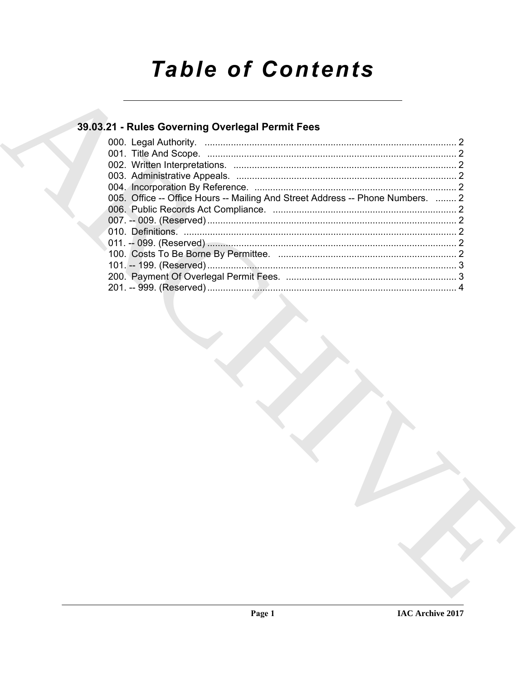# **Table of Contents**

### 39.03.21 - Rules Governing Overlegal Permit Fees

| 005. Office -- Office Hours -- Mailing And Street Address -- Phone Numbers.  2 |  |
|--------------------------------------------------------------------------------|--|
|                                                                                |  |
|                                                                                |  |
|                                                                                |  |
|                                                                                |  |
|                                                                                |  |
|                                                                                |  |
|                                                                                |  |
|                                                                                |  |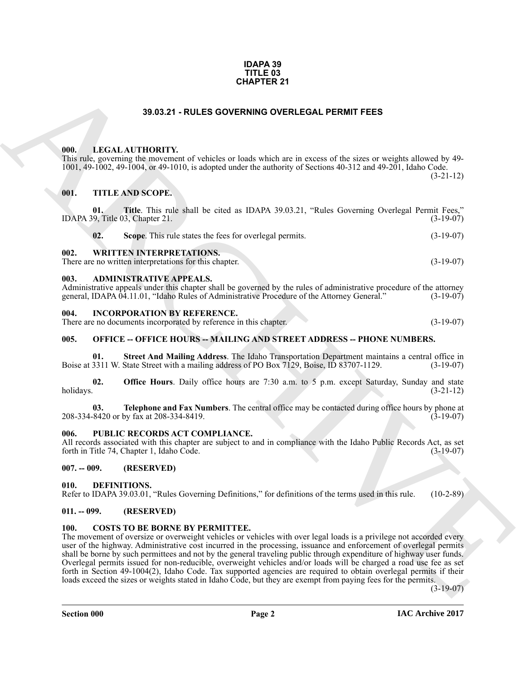#### **IDAPA 39 TITLE 03 CHAPTER 21**

#### **39.03.21 - RULES GOVERNING OVERLEGAL PERMIT FEES**

#### <span id="page-1-1"></span><span id="page-1-0"></span>**000. LEGAL AUTHORITY.**

#### <span id="page-1-3"></span><span id="page-1-2"></span>**001. TITLE AND SCOPE.**

| <b>CHAPTER 21</b> |                                                                                                                                                                                                                                                                                                                                                                                                                                                                                                                                                                                                                                                                                                                                                                         |             |
|-------------------|-------------------------------------------------------------------------------------------------------------------------------------------------------------------------------------------------------------------------------------------------------------------------------------------------------------------------------------------------------------------------------------------------------------------------------------------------------------------------------------------------------------------------------------------------------------------------------------------------------------------------------------------------------------------------------------------------------------------------------------------------------------------------|-------------|
|                   | 39.03.21 - RULES GOVERNING OVERLEGAL PERMIT FEES                                                                                                                                                                                                                                                                                                                                                                                                                                                                                                                                                                                                                                                                                                                        |             |
| 000.<br>001.      | LEGAL AUTHORITY.<br>This rule, governing the movement of vehicles or loads which are in excess of the sizes or weights allowed by 49-<br>1001, 49-1002, 49-1004, or 49-1010, is adopted under the authority of Sections 40-312 and 49-201, Idaho Code.<br><b>TITLE AND SCOPE.</b>                                                                                                                                                                                                                                                                                                                                                                                                                                                                                       | $(3-21-12)$ |
| 01.               | Title. This rule shall be cited as IDAPA 39.03.21, "Rules Governing Overlegal Permit Fees,"<br>IDAPA 39, Title 03, Chapter 21.                                                                                                                                                                                                                                                                                                                                                                                                                                                                                                                                                                                                                                          | $(3-19-07)$ |
| 02.               | Scope. This rule states the fees for overlegal permits.                                                                                                                                                                                                                                                                                                                                                                                                                                                                                                                                                                                                                                                                                                                 | $(3-19-07)$ |
| 002.              | <b>WRITTEN INTERPRETATIONS.</b><br>There are no written interpretations for this chapter.                                                                                                                                                                                                                                                                                                                                                                                                                                                                                                                                                                                                                                                                               | $(3-19-07)$ |
| 003.              | <b>ADMINISTRATIVE APPEALS.</b><br>Administrative appeals under this chapter shall be governed by the rules of administrative procedure of the attorney<br>general, IDAPA 04.11.01, "Idaho Rules of Administrative Procedure of the Attorney General."                                                                                                                                                                                                                                                                                                                                                                                                                                                                                                                   | $(3-19-07)$ |
| 004.              | <b>INCORPORATION BY REFERENCE.</b><br>There are no documents incorporated by reference in this chapter.                                                                                                                                                                                                                                                                                                                                                                                                                                                                                                                                                                                                                                                                 | $(3-19-07)$ |
| 005.              | <b>OFFICE -- OFFICE HOURS -- MAILING AND STREET ADDRESS -- PHONE NUMBERS.</b>                                                                                                                                                                                                                                                                                                                                                                                                                                                                                                                                                                                                                                                                                           |             |
| 01.               | Street And Mailing Address. The Idaho Transportation Department maintains a central office in<br>Boise at 3311 W. State Street with a mailing address of PO Box 7129, Boise, ID 83707-1129.                                                                                                                                                                                                                                                                                                                                                                                                                                                                                                                                                                             | $(3-19-07)$ |
| 02.<br>holidays.  | <b>Office Hours</b> . Daily office hours are 7:30 a.m. to 5 p.m. except Saturday, Sunday and state                                                                                                                                                                                                                                                                                                                                                                                                                                                                                                                                                                                                                                                                      | $(3-21-12)$ |
| 03.               | Telephone and Fax Numbers. The central office may be contacted during office hours by phone at<br>208-334-8420 or by fax at 208-334-8419.                                                                                                                                                                                                                                                                                                                                                                                                                                                                                                                                                                                                                               | $(3-19-07)$ |
| 006.              | PUBLIC RECORDS ACT COMPLIANCE.<br>All records associated with this chapter are subject to and in compliance with the Idaho Public Records Act, as set<br>forth in Title 74, Chapter 1, Idaho Code.                                                                                                                                                                                                                                                                                                                                                                                                                                                                                                                                                                      | $(3-19-07)$ |
| $007. - 009.$     | (RESERVED)                                                                                                                                                                                                                                                                                                                                                                                                                                                                                                                                                                                                                                                                                                                                                              |             |
| 010.              | DEFINITIONS.<br>Refer to IDAPA 39.03.01, "Rules Governing Definitions," for definitions of the terms used in this rule.                                                                                                                                                                                                                                                                                                                                                                                                                                                                                                                                                                                                                                                 | $(10-2-89)$ |
| $011. - 099.$     | (RESERVED)                                                                                                                                                                                                                                                                                                                                                                                                                                                                                                                                                                                                                                                                                                                                                              |             |
| <b>100.</b>       | <b>COSTS TO BE BORNE BY PERMITTEE.</b><br>The movement of oversize or overweight vehicles or vehicles with over legal loads is a privilege not accorded every<br>user of the highway. Administrative cost incurred in the processing, issuance and enforcement of overlegal permits<br>shall be borne by such permittees and not by the general traveling public through expenditure of highway user funds.<br>Overlegal permits issued for non-reducible, overweight vehicles and/or loads will be charged a road use fee as set<br>forth in Section 49-1004(2), Idaho Code. Tax supported agencies are required to obtain overlegal permits if their<br>loads exceed the sizes or weights stated in Idaho Code, but they are exempt from paying fees for the permits. | $(3-19-07)$ |

#### <span id="page-1-5"></span><span id="page-1-4"></span>**004. INCORPORATION BY REFERENCE.**

#### <span id="page-1-6"></span>**005. OFFICE -- OFFICE HOURS -- MAILING AND STREET ADDRESS -- PHONE NUMBERS.**

#### <span id="page-1-7"></span>**006. PUBLIC RECORDS ACT COMPLIANCE.**

#### <span id="page-1-8"></span>**007. -- 009. (RESERVED)**

#### <span id="page-1-13"></span><span id="page-1-9"></span>**010. DEFINITIONS.**

### <span id="page-1-10"></span>**011. -- 099. (RESERVED)**

#### <span id="page-1-12"></span><span id="page-1-11"></span>**100. COSTS TO BE BORNE BY PERMITTEE.**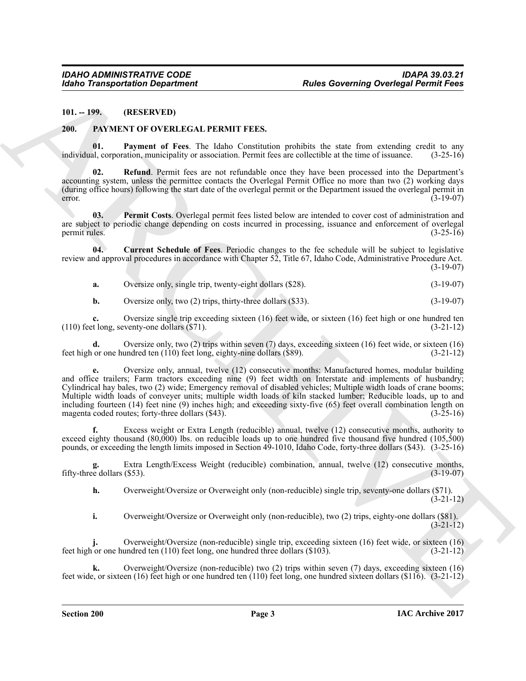<span id="page-2-0"></span>**101. -- 199. (RESERVED)**

#### <span id="page-2-4"></span><span id="page-2-2"></span><span id="page-2-1"></span>**200. PAYMENT OF OVERLEGAL PERMIT FEES.**

**01. Payment of Fees**. The Idaho Constitution prohibits the state from extending credit to any al. corporation, municipality or association. Permit fees are collectible at the time of issuance. (3-25-16) individual, corporation, municipality or association. Permit fees are collectible at the time of issuance.

<span id="page-2-6"></span>**02. Refund**. Permit fees are not refundable once they have been processed into the Department's accounting system, unless the permittee contacts the Overlegal Permit Office no more than two (2) working days (during office hours) following the start date of the overlegal permit or the Department issued the overlegal permit in  $(3-19-07)$ 

<span id="page-2-5"></span>**03. Permit Costs**. Overlegal permit fees listed below are intended to cover cost of administration and are subject to periodic change depending on costs incurred in processing, issuance and enforcement of overlegal<br>  $(3-25-16)$ permit rules. (3-25-16)

**04. Current Schedule of Fees**. Periodic changes to the fee schedule will be subject to legislative review and approval procedures in accordance with Chapter 52, Title 67, Idaho Code, Administrative Procedure Act. (3-19-07)

<span id="page-2-3"></span>**a.** Oversize only, single trip, twenty-eight dollars (\$28). (3-19-07)

**b.** Oversize only, two (2) trips, thirty-three dollars (\$33). (3-19-07)

**c.** Oversize single trip exceeding sixteen (16) feet wide, or sixteen (16) feet high or one hundred ten t long, seventy-one dollars (\$71).  $(110)$  feet long, seventy-one dollars  $(S71)$ .

Oversize only, two (2) trips within seven (7) days, exceeding sixteen (16) feet wide, or sixteen (16) undred ten (110) feet long, eighty-nine dollars (\$89).  $(3-21-12)$ feet high or one hundred ten  $(110)$  feet long, eighty-nine dollars  $(\$89)$ .

Kohno Transportation Department<br>
(Altho Concerning Overlogal Petroid Concerning<br>
(B). The CHIVEST COVERN CONTINENT PEEX<br>
(B). The mean of these the that concerning results that concerning the mean of the concerning conti **e.** Oversize only, annual, twelve (12) consecutive months: Manufactured homes, modular building and office trailers; Farm tractors exceeding nine (9) feet width on Interstate and implements of husbandry; Cylindrical hay bales, two (2) wide; Emergency removal of disabled vehicles; Multiple width loads of crane booms; Multiple width loads of conveyer units; multiple width loads of kiln stacked lumber; Reducible loads, up to and including fourteen (14) feet nine (9) inches high; and exceeding sixty-five (65) feet overall combination length on magenta coded routes: forty-three dollars (\$43). magenta coded routes; forty-three dollars  $(\$43)$ .

**f.** Excess weight or Extra Length (reducible) annual, twelve (12) consecutive months, authority to exceed eighty thousand (80,000) lbs. on reducible loads up to one hundred five thousand five hundred (105,500) pounds, or exceeding the length limits imposed in Section 49-1010, Idaho Code, forty-three dollars (\$43). (3-25-16)

Extra Length/Excess Weight (reducible) combination, annual, twelve (12) consecutive months, (\$53). (3-19-07) fifty-three dollars  $(\$53)$ .

**h.** Overweight/Oversize or Overweight only (non-reducible) single trip, seventy-one dollars (\$71). (3-21-12)

**i.** Overweight/Oversize or Overweight only (non-reducible), two (2) trips, eighty-one dollars (\$81).  $(3-21-12)$ 

Overweight/Oversize (non-reducible) single trip, exceeding sixteen (16) feet wide, or sixteen (16) undred ten (110) feet long, one hundred three dollars (\$103). (3-21-12) feet high or one hundred ten  $(110)$  feet long, one hundred three dollars  $(\$103)$ .

**k.** Overweight/Oversize (non-reducible) two (2) trips within seven (7) days, exceeding sixteen (16) feet wide, or sixteen (16) feet high or one hundred ten (110) feet long, one hundred sixteen dollars (\$116). (3-21-12)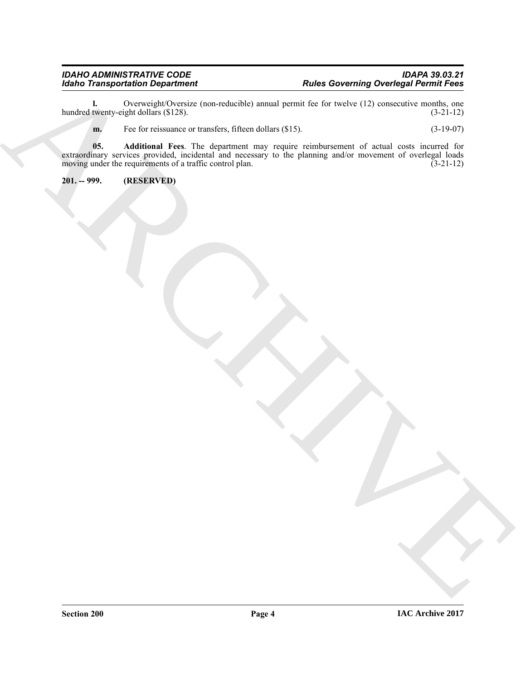**l.** Overweight/Oversize (non-reducible) annual permit fee for twelve (12) consecutive months, one twenty-eight dollars (\$128). (3-21-12) hundred twenty-eight dollars (\$128).

<span id="page-3-1"></span>**m.** Fee for reissuance or transfers, fifteen dollars (\$15). (3-19-07)

Monto Transportation Department<br>
Hammel description des Concertes des Internations and Archives (21) concertes des Concertes (2)<br>
The Concertes des English (2)<br>
The Concertes des English (2)<br>
The Concertes des English (2)<br> **05. Additional Fees**. The department may require reimbursement of actual costs incurred for extraordinary services provided, incidental and necessary to the planning and/or movement of overlegal loads moving under the requirements of a traffic control plan. (3-21-12) moving under the requirements of a traffic control plan.

<span id="page-3-0"></span>**201. -- 999. (RESERVED)**